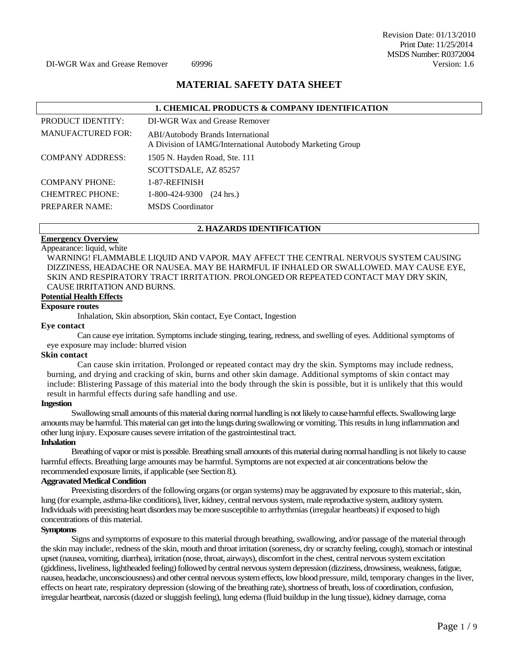Revision Date: 01/13/2010 Print Date: 11/25/2014 MSDS Number: R0372004<br>Version: 1.6

# **MATERIAL SAFETY DATA SHEET**

|                          | <b>1. CHEMICAL PRODUCTS &amp; COMPANY IDENTIFICATION</b>                                              |
|--------------------------|-------------------------------------------------------------------------------------------------------|
| PRODUCT IDENTITY:        | DI-WGR Wax and Grease Remover                                                                         |
| <b>MANUFACTURED FOR:</b> | <b>ABI/Autobody Brands International</b><br>A Division of IAMG/International Autobody Marketing Group |
| <b>COMPANY ADDRESS:</b>  | 1505 N. Hayden Road, Ste. 111<br>SCOTTSDALE, AZ 85257                                                 |
| <b>COMPANY PHONE:</b>    | 1-87-REFINISH                                                                                         |
| <b>CHEMTREC PHONE:</b>   | 1-800-424-9300<br>$(24 \text{ hrs.})$                                                                 |
| <b>PREPARER NAME:</b>    | <b>MSDS</b> Coordinator                                                                               |

#### **2. HAZARDS IDENTIFICATION**

#### **Emergency Overview**  Appearance: liquid, white

WARNING! FLAMMABLE LIQUID AND VAPOR. MAY AFFECT THE CENTRAL NERVOUS SYSTEM CAUSING DIZZINESS, HEADACHE OR NAUSEA. MAY BE HARMFUL IF INHALED OR SWALLOWED. MAY CAUSE EYE, SKIN AND RESPIRATORY TRACT IRRITATION. PROLONGED OR REPEATED CONTACT MAY DRY SKIN, CAUSE IRRITATION AND BURNS.

# **Potential Health Effects**

#### **Exposure routes**

Inhalation, Skin absorption, Skin contact, Eye Contact, Ingestion

#### **Eye contact**

Can cause eye irritation. Symptoms include stinging, tearing, redness, and swelling of eyes. Additional symptoms of eye exposure may include: blurred vision

#### **Skin contact**

Can cause skin irritation. Prolonged or repeated contact may dry the skin. Symptoms may include redness, burning, and drying and cracking of skin, burns and other skin damage. Additional symptoms of skin contact may include: Blistering Passage of this material into the body through the skin is possible, but it is unlikely that this would result in harmful effects during safe handling and use.

#### **Ingestion**

Swallowing small amounts of this material during normal handling is not likely to cause harmful effects. Swallowing large amounts may be harmful. This material can get into the lungs during swallowing or vomiting. This results in lung inflammation and other lung injury. Exposure causes severe irritation of the gastrointestinal tract.

#### **Inhalation**

Breathing of vapor or mist is possible. Breathing small amounts of this material during normal handling is not likely to cause harmful effects. Breathing large amounts may be harmful. Symptoms are not expected at air concentrations below the recommended exposure limits, if applicable (see Section 8.).

#### **Aggravated Medical Condition**

Preexisting disorders of the following organs (or organ systems) may be aggravated by exposure to this material:, skin, lung (for example, asthma-like conditions), liver, kidney, central nervous system, male reproductive system, auditory system. Individuals with preexisting heart disorders may be more susceptible to arrhythmias (irregular heartbeats) if exposed to high concentrations of this material.

#### **Symptoms**

Signs and symptoms of exposure to this material through breathing, swallowing, and/or passage of the material through the skin may include:, redness of the skin, mouth and throat irritation (soreness, dry or scratchy feeling, cough), stomach or intestinal upset (nausea, vomiting, diarrhea), irritation (nose, throat, airways), discomfort in the chest, central nervous system excitation (giddiness, liveliness, lightheaded feeling) followed by central nervous system depression (dizziness, drowsiness, weakness, fatigue, nausea, headache, unconsciousness) and other central nervous system effects, low blood pressure, mild, temporary changes in the liver, effects on heart rate, respiratory depression (slowing of the breathing rate), shortness of breath, loss of coordination, confusion, irregular heartbeat, narcosis (dazed or sluggish feeling), lung edema (fluid buildup in the lung tissue), kidney damage, coma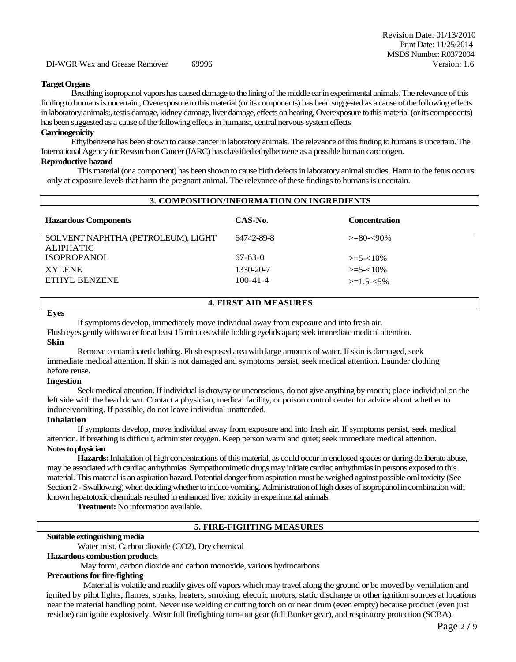#### **Target Organs**

Breathing isopropanol vapors has caused damage to the lining of the middle ear in experimental animals. The relevance of this finding to humans is uncertain., Overexposure to this material (or its components) has been suggested as a cause of the following effects in laboratory animals:, testis damage, kidney damage, liver damage, effects on hearing, Overexposure to this material (or its components) has been suggested as a cause of the following effects in humans:, central nervous system effects

#### **Carcinogenicity**

Ethylbenzene has been shown to cause cancer in laboratory animals. The relevance of this finding to humans is uncertain. The International Agency for Research on Cancer (IARC) has classified ethylbenzene as a possible human carcinogen.

# **Reproductive hazard**

This material (or a component) has been shown to cause birth defects in laboratory animal studies. Harm to the fetus occurs only at exposure levels that harm the pregnant animal. The relevance of these findings to humans is uncertain.

| 3. COMPOSITION/INFORMATION ON INGREDIENTS |                |                      |  |
|-------------------------------------------|----------------|----------------------|--|
| <b>Hazardous Components</b>               | CAS-No.        | <b>Concentration</b> |  |
| SOLVENT NAPHTHA (PETROLEUM), LIGHT        | 64742-89-8     | $>= 80 - 90\%$       |  |
| <b>ALIPHATIC</b>                          |                |                      |  |
| <b>ISOPROPANOL</b>                        | $67 - 63 - 0$  | $\geq 5 - 10\%$      |  |
| <b>XYLENE</b>                             | 1330-20-7      | $\geq 5 - 10\%$      |  |
| ETHYL BENZENE                             | $100 - 41 - 4$ | $>=1.5 - 5\%$        |  |
|                                           |                |                      |  |

# **4. FIRST AID MEASURES**

#### **Eyes**

If symptoms develop, immediately move individual away from exposure and into fresh air.

Flush eyes gently with water for at least 15 minutes while holding eyelids apart; seek immediate medical attention. **Skin**

# Remove contaminated clothing. Flush exposed area with large amounts of water. If skin is damaged, seek immediate medical attention. If skin is not damaged and symptoms persist, seek medical attention. Launder clothing before reuse.

#### **Ingestion**

Seek medical attention. If individual is drowsy or unconscious, do not give anything by mouth; place individual on the left side with the head down. Contact a physician, medical facility, or poison control center for advice about whether to induce vomiting. If possible, do not leave individual unattended.

#### **Inhalation**

If symptoms develop, move individual away from exposure and into fresh air. If symptoms persist, seek medical attention. If breathing is difficult, administer oxygen. Keep person warm and quiet; seek immediate medical attention. **Notes to physician** 

**Hazards:** Inhalation of high concentrations of this material, as could occur in enclosed spaces or during deliberate abuse, may be associated with cardiac arrhythmias. Sympathomimetic drugs may initiate cardiac arrhythmias in persons exposed to this material. This material is an aspiration hazard. Potential danger from aspiration must be weighed against possible oral toxicity (See Section 2 - Swallowing) when deciding whether to induce vomiting. Administration of high doses of isopropanol in combination with known hepatotoxic chemicals resulted in enhanced liver toxicity in experimental animals.

**Treatment:** No information available.

# **5. FIRE-FIGHTING MEASURES**

#### **Suitable extinguishing media**

# Water mist, Carbon dioxide (CO2), Dry chemical

#### **Hazardous combustion products**

May form:, carbon dioxide and carbon monoxide, various hydrocarbons

# **Precautions for fire-fighting**

Material is volatile and readily gives off vapors which may travel along the ground or be moved by ventilation and ignited by pilot lights, flames, sparks, heaters, smoking, electric motors, static discharge or other ignition sources at locations near the material handling point. Never use welding or cutting torch on or near drum (even empty) because product (even just residue) can ignite explosively. Wear full firefighting turn-out gear (full Bunker gear), and respiratory protection (SCBA).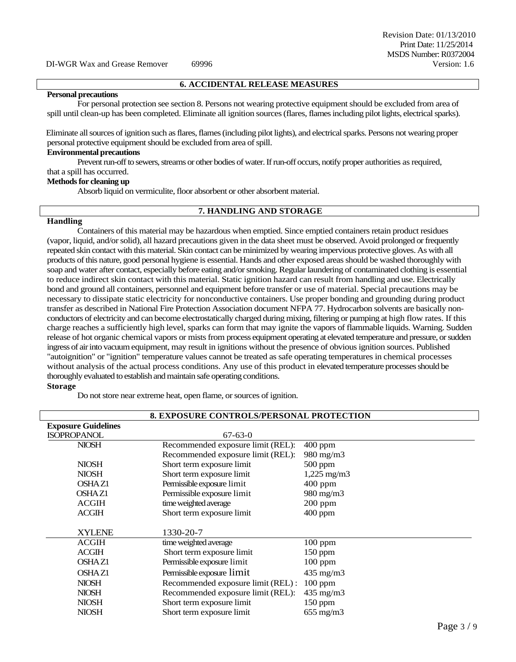# **6. ACCIDENTAL RELEASE MEASURES**

#### **Personal precautions**

For personal protection see section 8. Persons not wearing protective equipment should be excluded from area of spill until clean-up has been completed. Eliminate all ignition sources (flares, flames including pilot lights, electrical sparks).

Eliminate all sources of ignition such as flares, flames (including pilot lights), and electrical sparks. Persons not wearing proper personal protective equipment should be excluded from area of spill.

### **Environmental precautions**

Prevent run-off to sewers, streams or other bodies of water. If run-off occurs, notify proper authorities as required, that a spill has occurred.

#### **Methods for cleaning up**

Absorb liquid on vermiculite, floor absorbent or other absorbent material.

# **7. HANDLING AND STORAGE**

#### **Handling**

Containers of this material may be hazardous when emptied. Since emptied containers retain product residues (vapor, liquid, and/or solid), all hazard precautions given in the data sheet must be observed. Avoid prolonged or frequently repeated skin contact with this material. Skin contact can be minimized by wearing impervious protective gloves. As with all products of this nature, good personal hygiene is essential. Hands and other exposed areas should be washed thoroughly with soap and water after contact, especially before eating and/or smoking. Regular laundering of contaminated clothing is essential to reduce indirect skin contact with this material. Static ignition hazard can result from handling and use. Electrically bond and ground all containers, personnel and equipment before transfer or use of material. Special precautions may be necessary to dissipate static electricity for nonconductive containers. Use proper bonding and grounding during product transfer as described in National Fire Protection Association document NFPA 77. Hydrocarbon solvents are basically nonconductors of electricity and can become electrostatically charged during mixing, filtering or pumping at high flow rates. If this charge reaches a sufficiently high level, sparks can form that may ignite the vapors of flammable liquids. Warning. Sudden release of hot organic chemical vapors or mists from process equipment operating at elevated temperature and pressure, or sudden ingress of airinto vacuum equipment, may result in ignitions without the presence of obvious ignition sources. Published "autoignition" or "ignition" temperature values cannot be treated as safe operating temperatures in chemical processes without analysis of the actual process conditions. Any use of this product in elevated temperature processes should be thoroughly evaluated to establish and maintain safe operating conditions. **Storage**

Do not store near extreme heat, open flame, or sources of ignition.

| <b>8. EXPOSURE CONTROLS/PERSONAL PROTECTION</b> |                                    |                      |  |
|-------------------------------------------------|------------------------------------|----------------------|--|
| <b>Exposure Guidelines</b>                      |                                    |                      |  |
| <b>ISOPROPANOL</b>                              | $67 - 63 - 0$                      |                      |  |
| <b>NIOSH</b>                                    | Recommended exposure limit (REL):  | $400$ ppm            |  |
|                                                 | Recommended exposure limit (REL):  | 980 mg/m3            |  |
| <b>NIOSH</b>                                    | Short term exposure limit          | $500$ ppm            |  |
| <b>NIOSH</b>                                    | Short term exposure limit          | $1,225 \text{ mg/m}$ |  |
| <b>OSHAZ1</b>                                   | Permissible exposure limit         | $400$ ppm            |  |
| <b>OSHAZ1</b>                                   | Permissible exposure limit         | 980 mg/m3            |  |
| <b>ACGIH</b>                                    | time weighted average              | $200$ ppm            |  |
| <b>ACGIH</b>                                    | Short term exposure limit          | $400$ ppm            |  |
|                                                 |                                    |                      |  |
| <b>XYLENE</b>                                   | 1330-20-7                          |                      |  |
| <b>ACGIH</b>                                    | time weighted average              | $100$ ppm            |  |
| <b>ACGIH</b>                                    | Short term exposure limit          | $150$ ppm            |  |
| <b>OSHAZ1</b>                                   | Permissible exposure limit         | $100$ ppm            |  |
| <b>OSHAZ1</b>                                   | Permissible exposure limit         | $435 \text{ mg/m}$   |  |
| <b>NIOSH</b>                                    | Recommended exposure limit (REL) : | 100 ppm              |  |
| <b>NIOSH</b>                                    | Recommended exposure limit (REL):  | $435 \text{ mg/m}$   |  |
| <b>NIOSH</b>                                    | Short term exposure limit          | $150$ ppm            |  |
| <b>NIOSH</b>                                    | Short term exposure limit          | $655 \text{ mg/m}$   |  |
|                                                 |                                    |                      |  |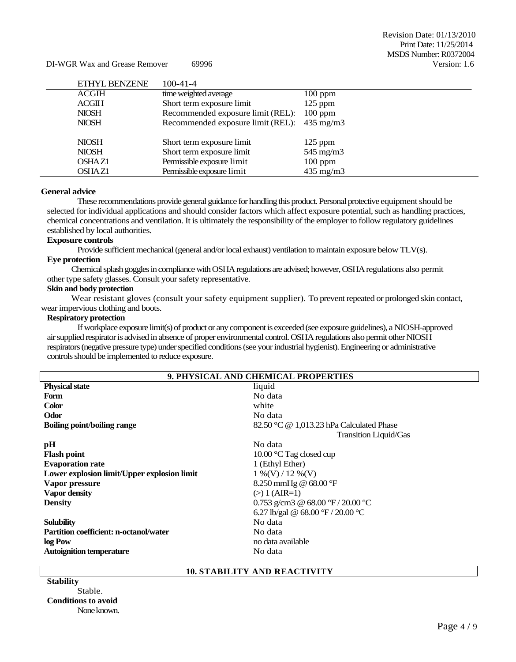DI-WGR Wax and Grease Remover 69996

| ETHYL BENZENE | $100 - 41 - 4$                    |                    |
|---------------|-----------------------------------|--------------------|
| <b>ACGIH</b>  | time weighted average             | $100$ ppm          |
| <b>ACGIH</b>  | Short term exposure limit         | $125$ ppm          |
| <b>NIOSH</b>  | Recommended exposure limit (REL): | $100$ ppm          |
| <b>NIOSH</b>  | Recommended exposure limit (REL): | $435 \text{ mg/m}$ |
|               |                                   |                    |
| <b>NIOSH</b>  | Short term exposure limit         | $125$ ppm          |
| <b>NIOSH</b>  | Short term exposure limit         | $545 \text{ mg/m}$ |
| OSHAZ1        | Permissible exposure limit        | $100$ ppm          |
| <b>OSHAZ1</b> | Permissible exposure limit        | $435 \text{ mg/m}$ |

#### **General advice**

These recommendations provide general guidance for handling this product. Personal protective equipment should be selected for individual applications and should consider factors which affect exposure potential, such as handling practices, chemical concentrations and ventilation. It is ultimately the responsibility of the employer to follow regulatory guidelines established by local authorities.

# **Exposure controls**

Provide sufficient mechanical (general and/or local exhaust) ventilation to maintain exposure below TLV(s).

# **Eye protection**

Chemical splash goggles in compliance with OSHA regulations are advised; however, OSHA regulations also permit other type safety glasses. Consult your safety representative.

#### **Skin and body protection**

Wear resistant gloves (consult your safety equipment supplier). To prevent repeated or prolonged skin contact, wear impervious clothing and boots.

#### **Respiratory protection**

If workplace exposure limit(s) of product or any component is exceeded (see exposure guidelines), a NIOSH-approved air supplied respirator is advised in absence of proper environmental control. OSHA regulations also permit other NIOSH respirators (negative pressure type) under specified conditions (see your industrial hygienist). Engineering or administrative controls should be implemented to reduce exposure.

| <b>Physical state</b><br>liquid                                                       |  |
|---------------------------------------------------------------------------------------|--|
|                                                                                       |  |
| Form<br>No data                                                                       |  |
| <b>Color</b><br>white                                                                 |  |
| Odor<br>No data                                                                       |  |
| <b>Boiling point/boiling range</b><br>82.50 °C $\omega$ 1,013.23 hPa Calculated Phase |  |
| Transition Liquid/Gas                                                                 |  |
| No data<br>pH                                                                         |  |
| <b>Flash point</b><br>10.00 $\mathrm{C}$ Tag closed cup                               |  |
| <b>Evaporation rate</b><br>1 (Ethyl Ether)                                            |  |
| Lower explosion limit/Upper explosion limit<br>$1\%$ (V) / 12 % (V)                   |  |
| 8.250 mmHg $@$ 68.00 °F<br>Vapor pressure                                             |  |
| <b>Vapor density</b><br>$(>) 1 (AIR=1)$                                               |  |
| 0.753 g/cm3 @ 68.00 °F / 20.00 °C<br><b>Density</b>                                   |  |
| 6.27 lb/gal @ 68.00 °F / 20.00 °C                                                     |  |
| No data<br><b>Solubility</b>                                                          |  |
| <b>Partition coefficient: n-octanol/water</b><br>No data                              |  |
| log Pow<br>no data available                                                          |  |
| <b>Autoignition temperature</b><br>No data                                            |  |

### **10. STABILITY AND REACTIVITY**

| <b>Stability</b>           |
|----------------------------|
| Stable.                    |
| <b>Conditions to avoid</b> |
| None known.                |
|                            |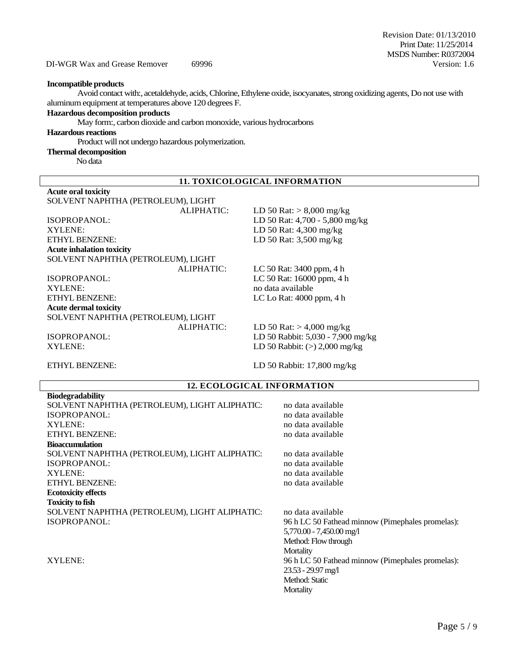DI-WGR Wax and Grease Remover 69996

#### **Incompatible products**

Avoid contact with:, acetaldehyde, acids, Chlorine, Ethylene oxide, isocyanates, strong oxidizing agents, Do not use with aluminum equipment at temperatures above 120 degrees F.

# **Hazardous decomposition products**

May form:, carbon dioxide and carbon monoxide, various hydrocarbons

#### **Hazardous reactions**

Product will not undergo hazardous polymerization.

### **Thermal decomposition**

No data

# **11. TOXICOLOGICAL INFORMATION**

| <b>Acute oral toxicity</b>         |                                   |
|------------------------------------|-----------------------------------|
| SOLVENT NAPHTHA (PETROLEUM), LIGHT |                                   |
| ALIPHATIC:                         | LD 50 Rat: $> 8,000$ mg/kg        |
| ISOPROPANOL:                       | LD 50 Rat: 4,700 - 5,800 mg/kg    |
| XYLENE:                            | LD 50 Rat: 4,300 mg/kg            |
| <b>ETHYL BENZENE:</b>              | LD 50 Rat: 3,500 mg/kg            |
| <b>Acute inhalation toxicity</b>   |                                   |
| SOLVENT NAPHTHA (PETROLEUM), LIGHT |                                   |
| ALIPHATIC:                         | LC 50 Rat: 3400 ppm, 4 h          |
| ISOPROPANOL:                       | LC 50 Rat: 16000 ppm, 4 h         |
| <b>XYLENE:</b>                     | no data available                 |
| <b>ETHYL BENZENE:</b>              | LC Lo Rat: $4000$ ppm, $4 h$      |
| <b>Acute dermal toxicity</b>       |                                   |
| SOLVENT NAPHTHA (PETROLEUM), LIGHT |                                   |
| ALIPHATIC:                         | LD 50 Rat: $> 4,000$ mg/kg        |
| ISOPROPANOL:                       | LD 50 Rabbit: 5,030 - 7,900 mg/kg |
| XYLENE:                            | LD 50 Rabbit: $(>)$ 2,000 mg/kg   |
|                                    |                                   |

ETHYL BENZENE: LD 50 Rabbit: 17,800 mg/kg

23.53 - 29.97 mg/l Method: Static **Mortality** 

# **12. ECOLOGICAL INFORMATION Biodegradability** SOLVENT NAPHTHA (PETROLEUM), LIGHT ALIPHATIC: no data available ISOPROPANOL: no data available no data available XYLENE:<br>
ETHYL BENZENE:<br>
in data available<br>
in data available<br>
in data available ETHYL BENZENE: **Bioaccumulation** SOLVENT NAPHTHA (PETROLEUM), LIGHT ALIPHATIC: no data available<br>ISOPROPANOL: no data available ISOPROPANOL: XYLENE:<br>
ETHYL BENZENE:<br>
no data available<br>
no data available<br>
no data available ETHYL BENZENE: **Ecotoxicity effects Toxicity to fish** SOLVENT NAPHTHA (PETROLEUM), LIGHT ALIPHATIC: no data available ISOPROPANOL: 96 h LC 50 Fathead minnow (Pimephales promelas): 5,770.00 - 7,450.00 mg/l Method: Flow through **Mortality** XYLENE: 96 h LC 50 Fathead minnow (Pimephales promelas):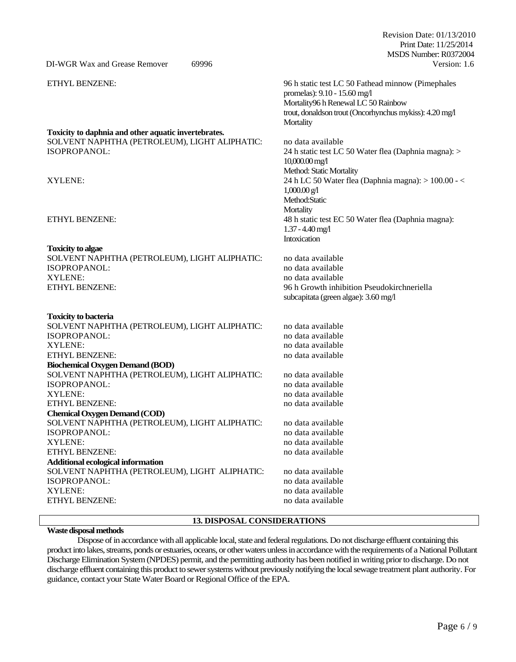MSDS Number: R0372004 DI-WGR Wax and Grease Remover 69996 Version: 1.6 ETHYL BENZENE: 96 h static test LC 50 Fathead minnow (Pimephales promelas): 9.10 - 15.60 mg/l Mortality96 h Renewal LC 50 Rainbow trout, donaldson trout (Oncorhynchus mykiss): 4.20 mg/l **Mortality Toxicity to daphnia and other aquatic invertebrates.** SOLVENT NAPHTHA (PETROLEUM), LIGHT ALIPHATIC: no data available<br>ISOPROPANOL: 24 h static test LC 24 h static test LC 50 Water flea (Daphnia magna): > 10,000.00 mg/l Method: Static Mortality XYLENE: 24 h LC 50 Water flea (Daphnia magna): > 100.00 - < 1,000.00 g/l Method:Static **Mortality** ETHYL BENZENE: 48 h static test EC 50 Water flea (Daphnia magna): 1.37 -4.40 mg/l Intoxication **Toxicity to algae** SOLVENT NAPHTHA (PETROLEUM), LIGHT ALIPHATIC: no data available<br>ISOPROPANOL: no data available ISOPROPANOL: XYLENE: no data available ETHYL BENZENE: 96 h Growth inhibition Pseudokirchneriella subcapitata (green algae): 3.60 mg/l **Toxicity to bacteria** SOLVENT NAPHTHA (PETROLEUM), LIGHT ALIPHATIC: no data available ISOPROPANOL: no data available no data available XYLENE: no data available ETHYL BENZENE: no data available **Biochemical Oxygen Demand (BOD)** SOLVENT NAPHTHA (PETROLEUM), LIGHT ALIPHATIC: no data available ISOPROPANOL: no data available no data available XYLENE: no data available ETHYL BENZENE: no data available **Chemical Oxygen Demand (COD)** SOLVENT NAPHTHA (PETROLEUM), LIGHT ALIPHATIC: no data available ISOPROPANOL: no data available no data available XYLENE:<br>
FITHYL RENZENE:<br>
FITHYL RENZENE:<br>  $\frac{1}{2}$  available ETHYL BENZENE: **Additional ecological information** SOLVENT NAPHTHA (PETROLEUM), LIGHT ALIPHATIC: no data available ISOPROPANOL: no data available no data available XYLENE: no data available ETHYL BENZENE: no data available

# **13. DISPOSAL CONSIDERATIONS**

#### **Waste disposal methods**

Dispose of in accordance with all applicable local, state and federal regulations. Do not discharge effluent containing this product into lakes, streams, ponds or estuaries, oceans, or other waters unless in accordance with the requirements of a National Pollutant Discharge Elimination System (NPDES) permit, and the permitting authority has been notified in writing prior to discharge. Do not discharge effluent containing this product to sewer systems without previously notifying the local sewage treatment plant authority. For guidance, contact your State Water Board or Regional Office of the EPA.

Revision Date: 01/13/2010 Print Date: 11/25/2014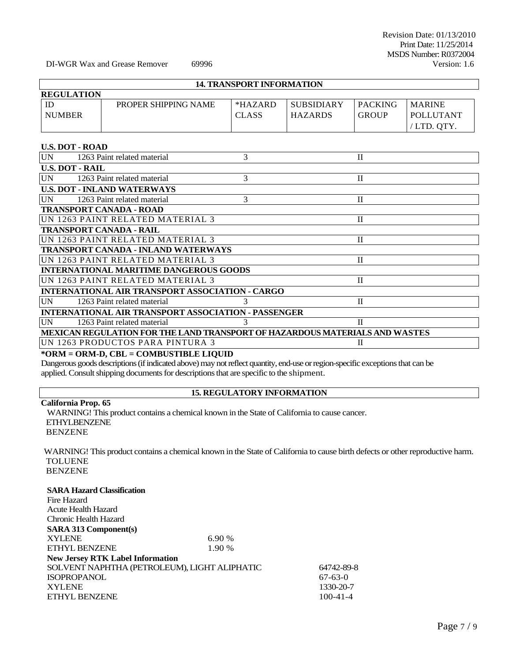DI-WGR Wax and Grease Remover 69996

### **14. TRANSPORT INFORMATION**

| <b>REGULATION</b> |                      |              |                   |                |                  |
|-------------------|----------------------|--------------|-------------------|----------------|------------------|
|                   | PROPER SHIPPING NAME | $*HAZARD$    | <b>SUBSIDIARY</b> | <b>PACKING</b> | <b>MARINE</b>    |
| <b>NUMBER</b>     |                      | <b>CLASS</b> | <b>HAZARDS</b>    | <b>GROUP</b>   | <b>POLLUTANT</b> |
|                   |                      |              |                   |                | /LTD. OTY        |

# **U.S. DOT - ROAD**

| <b>UN</b> | 1263 Paint related material                                |   | $_{\rm II}$                                                                 |  |
|-----------|------------------------------------------------------------|---|-----------------------------------------------------------------------------|--|
|           | <b>U.S. DOT - RAIL</b>                                     |   |                                                                             |  |
| UN        | 1263 Paint related material                                | 3 | $\mathbf{I}$                                                                |  |
|           | <b>U.S. DOT - INLAND WATERWAYS</b>                         |   |                                                                             |  |
| UN        | 1263 Paint related material                                | 3 | $\mathbf{I}$                                                                |  |
|           | <b>TRANSPORT CANADA - ROAD</b>                             |   |                                                                             |  |
|           | UN 1263 PAINT RELATED MATERIAL 3                           |   | $\mathbf H$                                                                 |  |
|           | <b>TRANSPORT CANADA - RAIL</b>                             |   |                                                                             |  |
|           | UN 1263 PAINT RELATED MATERIAL 3                           |   | H                                                                           |  |
|           | <b>TRANSPORT CANADA - INLAND WATERWAYS</b>                 |   |                                                                             |  |
|           | UN 1263 PAINT RELATED MATERIAL 3                           |   | $_{\rm II}$                                                                 |  |
|           | <b>INTERNATIONAL MARITIME DANGEROUS GOODS</b>              |   |                                                                             |  |
|           | UN 1263 PAINT RELATED MATERIAL 3                           |   | $\mathbf{H}$                                                                |  |
|           | INTERNATIONAL AIR TRANSPORT ASSOCIATION - CARGO            |   |                                                                             |  |
| <b>UN</b> | 1263 Paint related material                                |   | П                                                                           |  |
|           | <b>INTERNATIONAL AIR TRANSPORT ASSOCIATION - PASSENGER</b> |   |                                                                             |  |
| UN        | 1263 Paint related material                                |   | $\mathbf{I}$                                                                |  |
|           |                                                            |   | MEXICAN REGULATION FOR THE LAND TRANSPORT OF HAZARDOUS MATERIALS AND WASTES |  |
|           | UN 1263 PRODUCTOS PARA PINTURA 3                           |   | П                                                                           |  |

# **\*ORM = ORM-D, CBL = COMBUSTIBLE LIQUID**

Dangerous goods descriptions (if indicated above) may not reflect quantity, end-use or region-specific exceptions that can be applied. Consult shipping documents for descriptions that are specific to the shipment.

# **15. REGULATORY INFORMATION**

# **California Prop. 65**

WARNING! This product contains a chemical known in the State of California to cause cancer. ETHYLBENZENE BENZENE

WARNING! This product contains a chemical known in the State of California to cause birth defects or other reproductive harm. TOLUENE BENZENE

# **SARA Hazard Classification**

| Fire Hazard                                  |        |                |
|----------------------------------------------|--------|----------------|
| Acute Health Hazard                          |        |                |
| Chronic Health Hazard                        |        |                |
| <b>SARA 313 Component(s)</b>                 |        |                |
| <b>XYLENE</b>                                | 6.90%  |                |
| ETHYL BENZENE                                | 1.90 % |                |
| <b>New Jersey RTK Label Information</b>      |        |                |
| SOLVENT NAPHTHA (PETROLEUM), LIGHT ALIPHATIC |        | 64742-89-8     |
| <b>ISOPROPANOL</b>                           |        | $67-63-0$      |
| <b>XYLENE</b>                                |        | 1330-20-7      |
| ETHYL BENZENE                                |        | $100 - 41 - 4$ |
|                                              |        |                |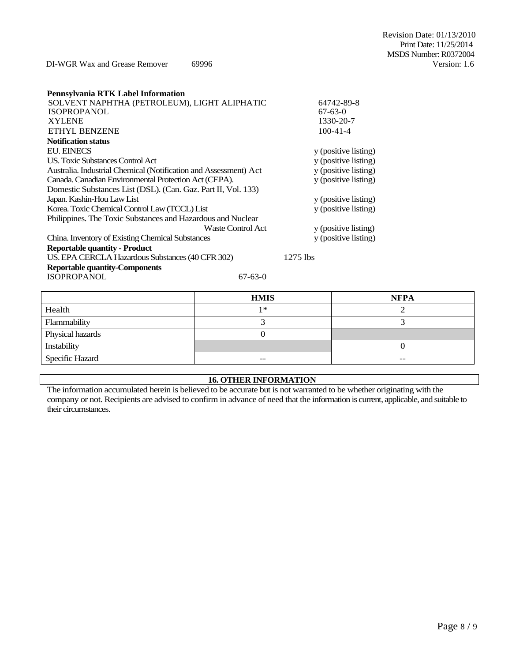Revision Date: 01/13/2010 Print Date: 11/25/2014 MSDS Number: R0372004<br>Version: 1.6

DI-WGR Wax and Grease Remover 69996

| Pennsylvania RTK Label Information                               |                   |                      |
|------------------------------------------------------------------|-------------------|----------------------|
| SOLVENT NAPHTHA (PETROLEUM), LIGHT ALIPHATIC                     |                   | 64742-89-8           |
| <b>ISOPROPANOL</b>                                               |                   | $67 - 63 - 0$        |
| <b>XYLENE</b>                                                    |                   | 1330-20-7            |
| <b>ETHYL BENZENE</b>                                             |                   | $100 - 41 - 4$       |
| <b>Notification status</b>                                       |                   |                      |
| <b>EU. EINECS</b>                                                |                   | y (positive listing) |
| US. Toxic Substances Control Act                                 |                   | y (positive listing) |
| Australia. Industrial Chemical (Notification and Assessment) Act |                   | y (positive listing) |
| Canada. Canadian Environmental Protection Act (CEPA).            |                   | y (positive listing) |
| Domestic Substances List (DSL). (Can. Gaz. Part II, Vol. 133)    |                   |                      |
| Japan. Kashin-Hou Law List                                       |                   | y (positive listing) |
| Korea. Toxic Chemical Control Law (TCCL) List                    |                   | y (positive listing) |
| Philippines. The Toxic Substances and Hazardous and Nuclear      |                   |                      |
|                                                                  | Waste Control Act | y (positive listing) |
| China. Inventory of Existing Chemical Substances                 |                   | y (positive listing) |
| <b>Reportable quantity - Product</b>                             |                   |                      |
| US. EPA CERCLA Hazardous Substances (40 CFR 302)                 |                   | $1275$ lbs           |
| <b>Reportable quantity-Components</b>                            |                   |                      |
| <b>ISOPROPANOL</b>                                               | $67 - 63 - 0$     |                      |

|                  | <b>HMIS</b> | <b>NFPA</b> |
|------------------|-------------|-------------|
| Health           | 1 *         |             |
| Flammability     |             |             |
| Physical hazards |             |             |
| Instability      |             |             |
| Specific Hazard  | $- -$       | $- -$       |

# **16. OTHER INFORMATION**

The information accumulated herein is believed to be accurate but is not warranted to be whether originating with the company or not. Recipients are advised to confirm in advance of need that the information is current, applicable, and suitable to their circumstances.